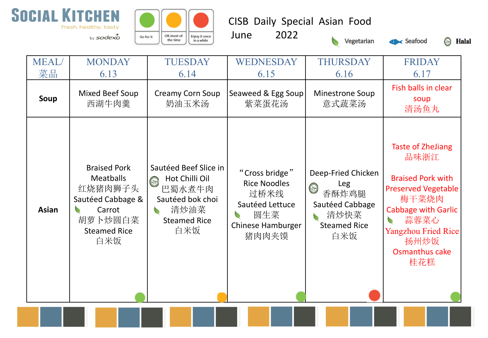



CISB Daily Special Asian Food

June 2022







| <b>MEAL</b><br>菜品 | <b>MONDAY</b><br>6.13                                                                                                      | <b>TUESDAY</b><br>6.14                                                                                                        | WEDNESDAY<br>6.15                                                                                     | <b>THURSDAY</b><br>6.16                                                                                       | <b>FRIDAY</b><br>6.17                                                                                                                                                                                                 |
|-------------------|----------------------------------------------------------------------------------------------------------------------------|-------------------------------------------------------------------------------------------------------------------------------|-------------------------------------------------------------------------------------------------------|---------------------------------------------------------------------------------------------------------------|-----------------------------------------------------------------------------------------------------------------------------------------------------------------------------------------------------------------------|
| Soup              | Mixed Beef Soup<br>西湖牛肉羹                                                                                                   | <b>Creamy Corn Soup</b><br>奶油玉米汤                                                                                              | Seaweed & Egg Soup<br>紫菜蛋花汤                                                                           | <b>Minestrone Soup</b><br>意式蔬菜汤                                                                               | Fish balls in clear<br>soup<br>清汤鱼丸                                                                                                                                                                                   |
| <b>Asian</b>      | <b>Braised Pork</b><br><b>Meatballs</b><br>红烧猪肉狮子头<br>Sautéed Cabbage &<br>Carrot<br>胡萝卜炒圆白菜<br><b>Steamed Rice</b><br>白米饭 | Sautéed Beef Slice in<br>Hot Chilli Oil<br>$\circledcirc$<br>巴蜀水煮牛肉<br>Sautéed bok choi<br>清炒油菜<br><b>Steamed Rice</b><br>白米饭 | "Cross bridge"<br><b>Rice Noodles</b><br>过桥米线<br>Sautéed Lettuce<br>圆生菜<br>Chinese Hamburger<br>猪肉肉夹馍 | Deep-Fried Chicken<br>Leg<br>$\circledcirc$<br>香酥炸鸡腿<br>Sautéed Cabbage<br>清炒快菜<br><b>Steamed Rice</b><br>白米饭 | <b>Taste of ZheJiang</b><br>品味浙江<br><b>Braised Pork with</b><br><b>Preserved Vegetable</b><br>梅干菜烧肉<br><b>Cabbage with Garlic</b><br>蒜蓉菜心<br>V.<br><b>Yangzhou Fried Rice</b><br>扬州炒饭<br><b>Osmanthus cake</b><br>桂花糕 |